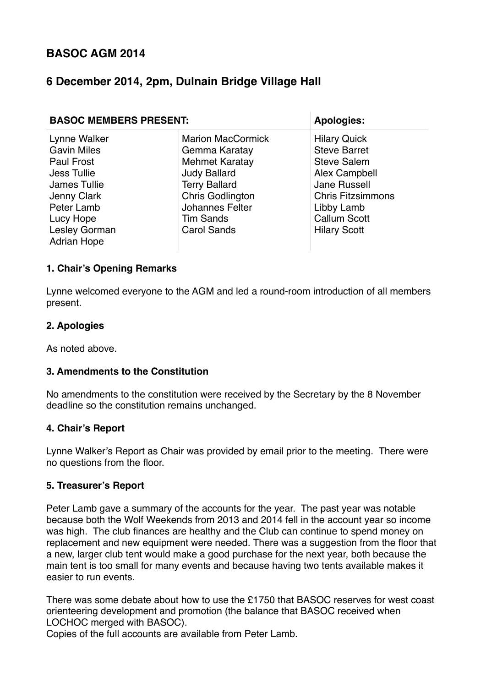# **BASOC AGM 2014**

# **6 December 2014, 2pm, Dulnain Bridge Village Hall**

| <b>BASOC MEMBERS PRESENT:</b>                                                                                                                                           |                                                                                                                                                                                                           | <b>Apologies:</b>                                                                                                                                                                         |
|-------------------------------------------------------------------------------------------------------------------------------------------------------------------------|-----------------------------------------------------------------------------------------------------------------------------------------------------------------------------------------------------------|-------------------------------------------------------------------------------------------------------------------------------------------------------------------------------------------|
| Lynne Walker<br><b>Gavin Miles</b><br><b>Paul Frost</b><br>Jess Tullie<br>James Tullie<br>Jenny Clark<br>Peter Lamb<br>Lucy Hope<br>Lesley Gorman<br><b>Adrian Hope</b> | <b>Marion MacCormick</b><br>Gemma Karatay<br><b>Mehmet Karatay</b><br><b>Judy Ballard</b><br><b>Terry Ballard</b><br><b>Chris Godlington</b><br>Johannes Felter<br><b>Tim Sands</b><br><b>Carol Sands</b> | <b>Hilary Quick</b><br><b>Steve Barret</b><br><b>Steve Salem</b><br>Alex Campbell<br>Jane Russell<br><b>Chris Fitzsimmons</b><br>Libby Lamb<br><b>Callum Scott</b><br><b>Hilary Scott</b> |

#### **1. Chair's Opening Remarks**

Lynne welcomed everyone to the AGM and led a round-room introduction of all members present.

#### **2. Apologies**

As noted above.

#### **3. Amendments to the Constitution**

No amendments to the constitution were received by the Secretary by the 8 November deadline so the constitution remains unchanged.

#### **4. Chair's Report**

Lynne Walker's Report as Chair was provided by email prior to the meeting. There were no questions from the floor.

#### **5. Treasurer's Report**

Peter Lamb gave a summary of the accounts for the year. The past year was notable because both the Wolf Weekends from 2013 and 2014 fell in the account year so income was high. The club finances are healthy and the Club can continue to spend money on replacement and new equipment were needed. There was a suggestion from the floor that a new, larger club tent would make a good purchase for the next year, both because the main tent is too small for many events and because having two tents available makes it easier to run events.

There was some debate about how to use the £1750 that BASOC reserves for west coast orienteering development and promotion (the balance that BASOC received when LOCHOC merged with BASOC).

Copies of the full accounts are available from Peter Lamb.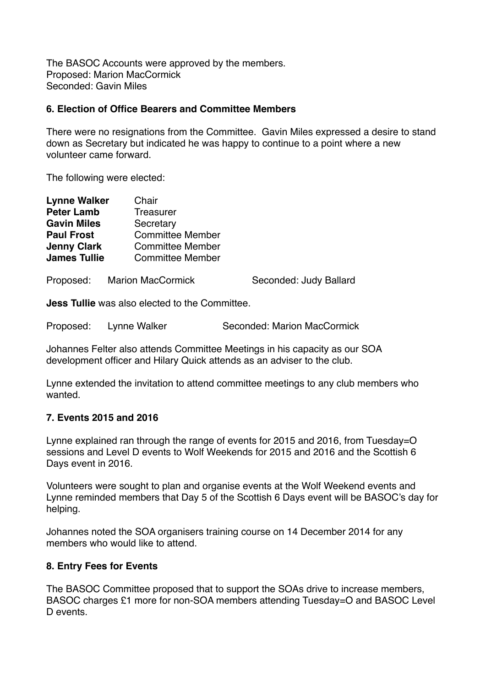The BASOC Accounts were approved by the members. Proposed: Marion MacCormick Seconded: Gavin Miles

#### **6. Election of Office Bearers and Committee Members**

There were no resignations from the Committee. Gavin Miles expressed a desire to stand down as Secretary but indicated he was happy to continue to a point where a new volunteer came forward.

The following were elected:

| <b>Lynne Walker</b> | Chair                   |  |
|---------------------|-------------------------|--|
| <b>Peter Lamb</b>   | <b>Treasurer</b>        |  |
| <b>Gavin Miles</b>  | Secretary               |  |
| <b>Paul Frost</b>   | <b>Committee Member</b> |  |
| <b>Jenny Clark</b>  | <b>Committee Member</b> |  |
| <b>James Tullie</b> | <b>Committee Member</b> |  |
|                     |                         |  |
|                     |                         |  |

Proposed: Marion MacCormick Seconded: Judy Ballard

**Jess Tullie** was also elected to the Committee.

Proposed: Lynne Walker Seconded: Marion MacCormick

Johannes Felter also attends Committee Meetings in his capacity as our SOA development officer and Hilary Quick attends as an adviser to the club.

Lynne extended the invitation to attend committee meetings to any club members who wanted.

## **7. Events 2015 and 2016**

Lynne explained ran through the range of events for 2015 and 2016, from Tuesday=O sessions and Level D events to Wolf Weekends for 2015 and 2016 and the Scottish 6 Days event in 2016.

Volunteers were sought to plan and organise events at the Wolf Weekend events and Lynne reminded members that Day 5 of the Scottish 6 Days event will be BASOC's day for helping.

Johannes noted the SOA organisers training course on 14 December 2014 for any members who would like to attend.

## **8. Entry Fees for Events**

The BASOC Committee proposed that to support the SOAs drive to increase members, BASOC charges £1 more for non-SOA members attending Tuesday=O and BASOC Level D events.